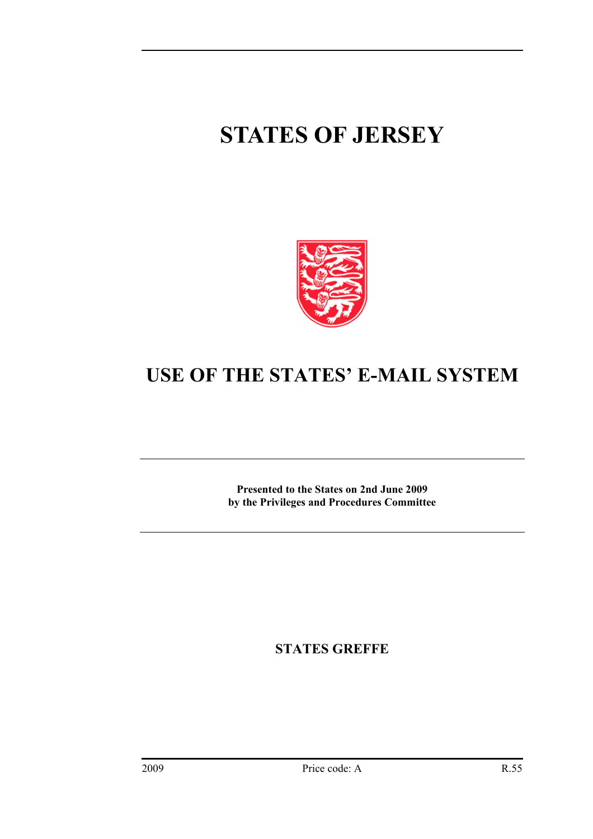## **STATES OF JERSEY**



## **USE OF THE STATES' E-MAIL SYSTEM**

**Presented to the States on 2nd June 2009 by the Privileges and Procedures Committee** 

**STATES GREFFE**